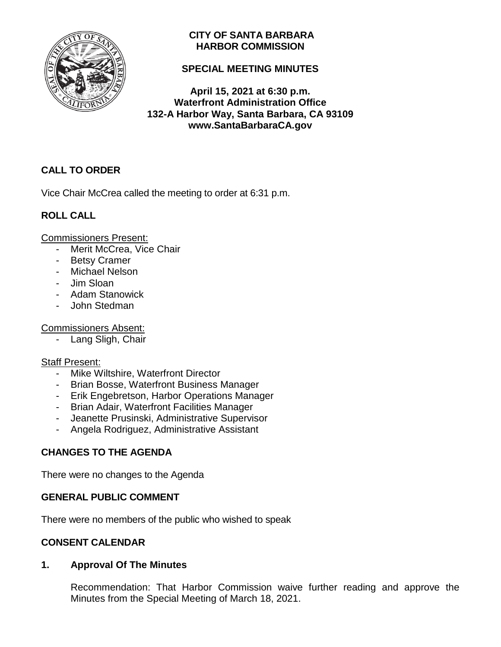

# **CITY OF SANTA BARBARA HARBOR COMMISSION**

# **SPECIAL MEETING MINUTES**

**April 15, 2021 at 6:30 p.m. Waterfront Administration Office 132-A Harbor Way, Santa Barbara, CA 93109 www.SantaBarbaraCA.gov**

# **CALL TO ORDER**

Vice Chair McCrea called the meeting to order at 6:31 p.m.

# **ROLL CALL**

Commissioners Present:

- Merit McCrea, Vice Chair
- Betsy Cramer
- Michael Nelson
- Jim Sloan
- Adam Stanowick
- John Stedman

## Commissioners Absent:

- Lang Sligh, Chair

# Staff Present:

- Mike Wiltshire, Waterfront Director
- Brian Bosse, Waterfront Business Manager
- Erik Engebretson, Harbor Operations Manager
- Brian Adair, Waterfront Facilities Manager
- Jeanette Prusinski, Administrative Supervisor
- Angela Rodriguez, Administrative Assistant

# **CHANGES TO THE AGENDA**

There were no changes to the Agenda

# **GENERAL PUBLIC COMMENT**

There were no members of the public who wished to speak

# **CONSENT CALENDAR**

# **1. Approval Of The Minutes**

Recommendation: That Harbor Commission waive further reading and approve the Minutes from the Special Meeting of March 18, 2021.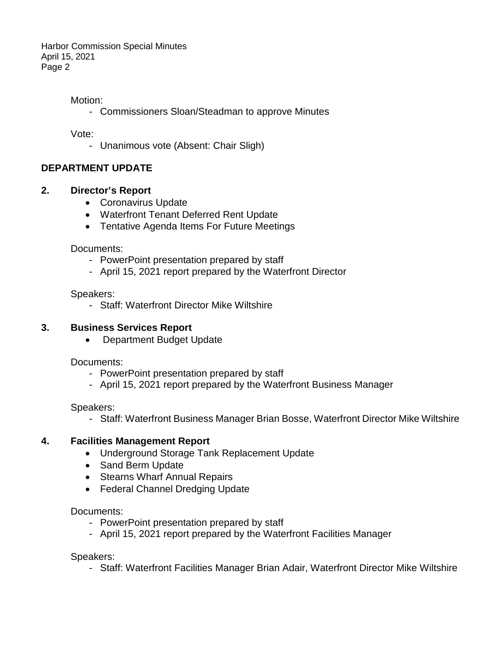Harbor Commission Special Minutes April 15, 2021 Page 2

### Motion:

- Commissioners Sloan/Steadman to approve Minutes

Vote:

- Unanimous vote (Absent: Chair Sligh)

### **DEPARTMENT UPDATE**

#### **2. Director's Report**

- Coronavirus Update
- Waterfront Tenant Deferred Rent Update
- Tentative Agenda Items For Future Meetings

Documents:

- PowerPoint presentation prepared by staff
- April 15, 2021 report prepared by the Waterfront Director

Speakers:

- Staff: Waterfront Director Mike Wiltshire

### **3. Business Services Report**

• Department Budget Update

Documents:

- PowerPoint presentation prepared by staff
- April 15, 2021 report prepared by the Waterfront Business Manager

Speakers:

- Staff: Waterfront Business Manager Brian Bosse, Waterfront Director Mike Wiltshire

### **4. Facilities Management Report**

- Underground Storage Tank Replacement Update
- Sand Berm Update
- Stearns Wharf Annual Repairs
- Federal Channel Dredging Update

Documents:

- PowerPoint presentation prepared by staff
- April 15, 2021 report prepared by the Waterfront Facilities Manager

Speakers:

- Staff: Waterfront Facilities Manager Brian Adair, Waterfront Director Mike Wiltshire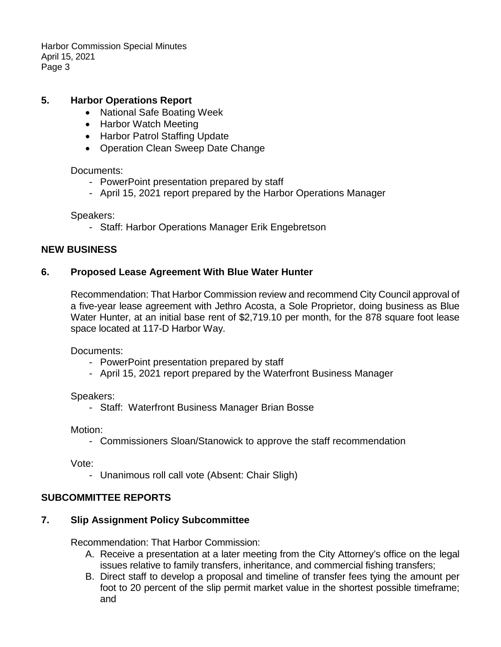Harbor Commission Special Minutes April 15, 2021 Page 3

### **5. Harbor Operations Report**

- National Safe Boating Week
- Harbor Watch Meeting
- Harbor Patrol Staffing Update
- Operation Clean Sweep Date Change

#### Documents:

- PowerPoint presentation prepared by staff
- April 15, 2021 report prepared by the Harbor Operations Manager

Speakers:

- Staff: Harbor Operations Manager Erik Engebretson

### **NEW BUSINESS**

#### **6. Proposed Lease Agreement With Blue Water Hunter**

Recommendation: That Harbor Commission review and recommend City Council approval of a five-year lease agreement with Jethro Acosta, a Sole Proprietor, doing business as Blue Water Hunter, at an initial base rent of \$2,719.10 per month, for the 878 square foot lease space located at 117-D Harbor Way.

Documents:

- PowerPoint presentation prepared by staff
- April 15, 2021 report prepared by the Waterfront Business Manager

Speakers:

- Staff: Waterfront Business Manager Brian Bosse

Motion:

- Commissioners Sloan/Stanowick to approve the staff recommendation

Vote:

- Unanimous roll call vote (Absent: Chair Sligh)

### **SUBCOMMITTEE REPORTS**

### **7. Slip Assignment Policy Subcommittee**

Recommendation: That Harbor Commission:

- A. Receive a presentation at a later meeting from the City Attorney's office on the legal issues relative to family transfers, inheritance, and commercial fishing transfers;
- B. Direct staff to develop a proposal and timeline of transfer fees tying the amount per foot to 20 percent of the slip permit market value in the shortest possible timeframe; and